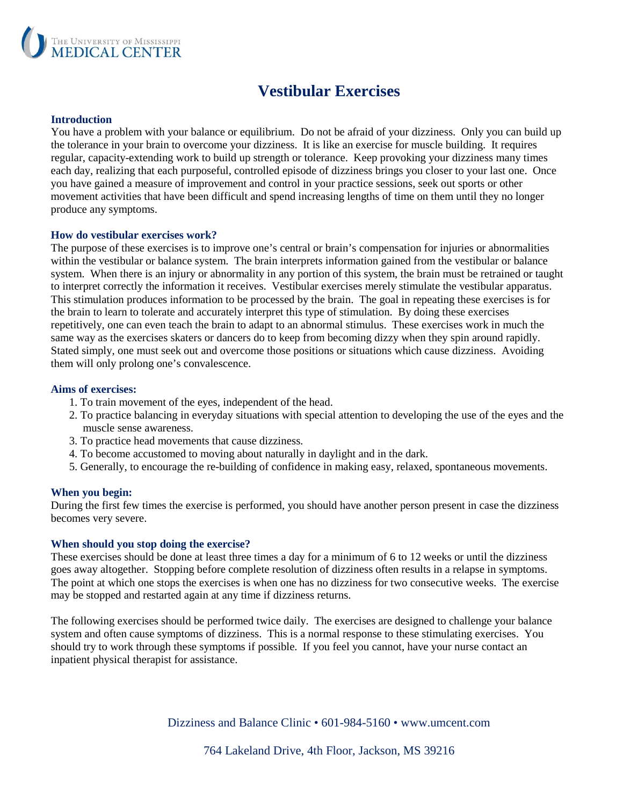

# **Vestibular Exercises**

#### **Introduction**

You have a problem with your balance or equilibrium. Do not be afraid of your dizziness. Only you can build up the tolerance in your brain to overcome your dizziness. It is like an exercise for muscle building. It requires regular, capacity-extending work to build up strength or tolerance. Keep provoking your dizziness many times each day, realizing that each purposeful, controlled episode of dizziness brings you closer to your last one. Once you have gained a measure of improvement and control in your practice sessions, seek out sports or other movement activities that have been difficult and spend increasing lengths of time on them until they no longer produce any symptoms.

#### **How do vestibular exercises work?**

The purpose of these exercises is to improve one's central or brain's compensation for injuries or abnormalities within the vestibular or balance system. The brain interprets information gained from the vestibular or balance system. When there is an injury or abnormality in any portion of this system, the brain must be retrained or taught to interpret correctly the information it receives. Vestibular exercises merely stimulate the vestibular apparatus. This stimulation produces information to be processed by the brain. The goal in repeating these exercises is for the brain to learn to tolerate and accurately interpret this type of stimulation. By doing these exercises repetitively, one can even teach the brain to adapt to an abnormal stimulus. These exercises work in much the same way as the exercises skaters or dancers do to keep from becoming dizzy when they spin around rapidly. Stated simply, one must seek out and overcome those positions or situations which cause dizziness. Avoiding them will only prolong one's convalescence.

#### **Aims of exercises:**

- 1. To train movement of the eyes, independent of the head.
- 2. To practice balancing in everyday situations with special attention to developing the use of the eyes and the muscle sense awareness.
- 3. To practice head movements that cause dizziness.
- 4. To become accustomed to moving about naturally in daylight and in the dark.
- 5. Generally, to encourage the re-building of confidence in making easy, relaxed, spontaneous movements.

#### **When you begin:**

During the first few times the exercise is performed, you should have another person present in case the dizziness becomes very severe.

#### **When should you stop doing the exercise?**

These exercises should be done at least three times a day for a minimum of 6 to 12 weeks or until the dizziness goes away altogether. Stopping before complete resolution of dizziness often results in a relapse in symptoms. The point at which one stops the exercises is when one has no dizziness for two consecutive weeks. The exercise may be stopped and restarted again at any time if dizziness returns.

The following exercises should be performed twice daily. The exercises are designed to challenge your balance system and often cause symptoms of dizziness. This is a normal response to these stimulating exercises. You should try to work through these symptoms if possible. If you feel you cannot, have your nurse contact an inpatient physical therapist for assistance.

Dizziness and Balance Clinic • 601-984-5160 • www.umcent.com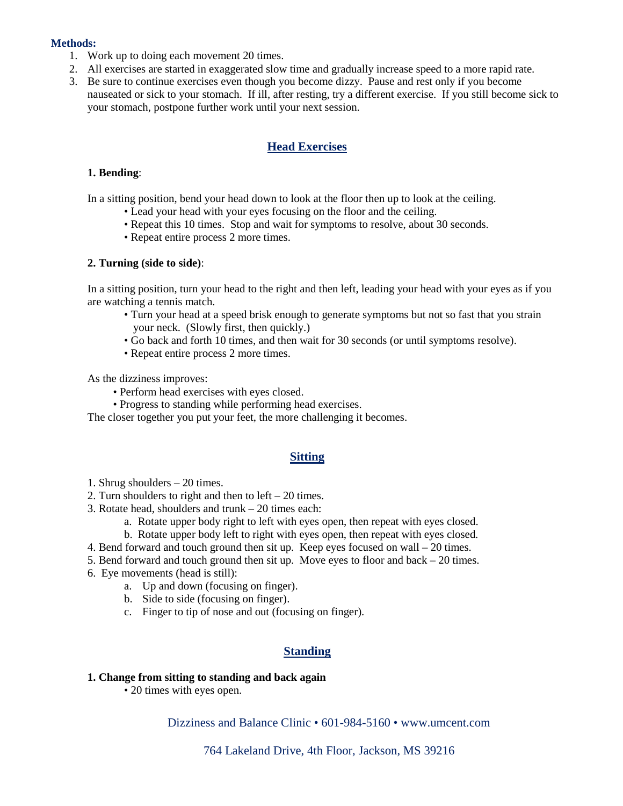#### **Methods:**

- 1. Work up to doing each movement 20 times.
- 2. All exercises are started in exaggerated slow time and gradually increase speed to a more rapid rate.
- 3. Be sure to continue exercises even though you become dizzy. Pause and rest only if you become nauseated or sick to your stomach. If ill, after resting, try a different exercise. If you still become sick to your stomach, postpone further work until your next session.

#### **Head Exercises**

#### **1. Bending**:

In a sitting position, bend your head down to look at the floor then up to look at the ceiling.

- Lead your head with your eyes focusing on the floor and the ceiling.
- Repeat this 10 times. Stop and wait for symptoms to resolve, about 30 seconds.
- Repeat entire process 2 more times.

#### **2. Turning (side to side)**:

In a sitting position, turn your head to the right and then left, leading your head with your eyes as if you are watching a tennis match.

- Turn your head at a speed brisk enough to generate symptoms but not so fast that you strain your neck. (Slowly first, then quickly.)
- Go back and forth 10 times, and then wait for 30 seconds (or until symptoms resolve).
- Repeat entire process 2 more times.

As the dizziness improves:

- Perform head exercises with eyes closed.
- Progress to standing while performing head exercises.

The closer together you put your feet, the more challenging it becomes.

#### **Sitting**

- 1. Shrug shoulders 20 times.
- 2. Turn shoulders to right and then to left 20 times.
- 3. Rotate head, shoulders and trunk 20 times each:
	- a. Rotate upper body right to left with eyes open, then repeat with eyes closed.
	- b. Rotate upper body left to right with eyes open, then repeat with eyes closed.
- 4. Bend forward and touch ground then sit up. Keep eyes focused on wall 20 times.
- 5. Bend forward and touch ground then sit up. Move eyes to floor and back  $-20$  times.
- 6. Eye movements (head is still):
	- a. Up and down (focusing on finger).
	- b. Side to side (focusing on finger).
	- c. Finger to tip of nose and out (focusing on finger).

### **Standing**

#### **1. Change from sitting to standing and back again**

• 20 times with eyes open.

Dizziness and Balance Clinic • 601-984-5160 • www.umcent.com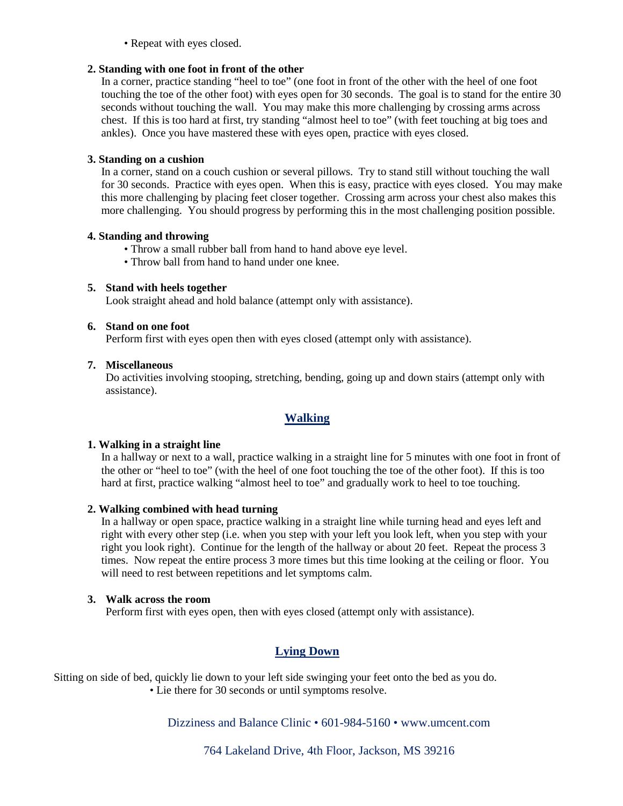• Repeat with eyes closed.

#### **2. Standing with one foot in front of the other**

In a corner, practice standing "heel to toe" (one foot in front of the other with the heel of one foot touching the toe of the other foot) with eyes open for 30 seconds. The goal is to stand for the entire 30 seconds without touching the wall. You may make this more challenging by crossing arms across chest. If this is too hard at first, try standing "almost heel to toe" (with feet touching at big toes and ankles). Once you have mastered these with eyes open, practice with eyes closed.

#### **3. Standing on a cushion**

In a corner, stand on a couch cushion or several pillows. Try to stand still without touching the wall for 30 seconds. Practice with eyes open. When this is easy, practice with eyes closed. You may make this more challenging by placing feet closer together. Crossing arm across your chest also makes this more challenging. You should progress by performing this in the most challenging position possible.

#### **4. Standing and throwing**

- Throw a small rubber ball from hand to hand above eye level.
- Throw ball from hand to hand under one knee.

#### **5. Stand with heels together**

Look straight ahead and hold balance (attempt only with assistance).

#### **6. Stand on one foot**

Perform first with eyes open then with eyes closed (attempt only with assistance).

#### **7. Miscellaneous**

Do activities involving stooping, stretching, bending, going up and down stairs (attempt only with assistance).

# **Walking**

### **1. Walking in a straight line**

In a hallway or next to a wall, practice walking in a straight line for 5 minutes with one foot in front of the other or "heel to toe" (with the heel of one foot touching the toe of the other foot). If this is too hard at first, practice walking "almost heel to toe" and gradually work to heel to toe touching.

### **2. Walking combined with head turning**

In a hallway or open space, practice walking in a straight line while turning head and eyes left and right with every other step (i.e. when you step with your left you look left, when you step with your right you look right). Continue for the length of the hallway or about 20 feet. Repeat the process 3 times. Now repeat the entire process 3 more times but this time looking at the ceiling or floor. You will need to rest between repetitions and let symptoms calm.

#### **3. Walk across the room**

Perform first with eyes open, then with eyes closed (attempt only with assistance).

# **Lying Down**

Sitting on side of bed, quickly lie down to your left side swinging your feet onto the bed as you do.

• Lie there for 30 seconds or until symptoms resolve.

## Dizziness and Balance Clinic • 601-984-5160 • www.umcent.com